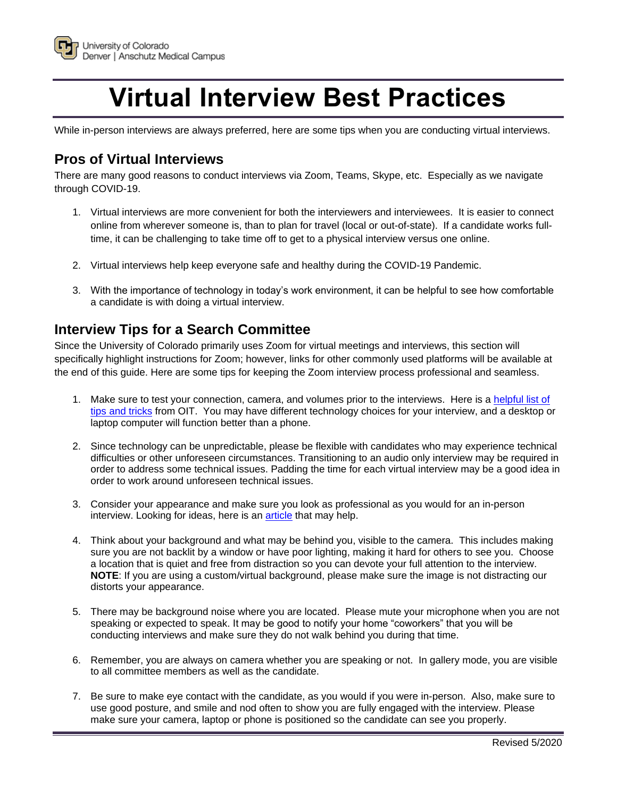

# **Virtual Interview Best Practices**

While in-person interviews are always preferred, here are some tips when you are conducting virtual interviews.

## **Pros of Virtual Interviews**

There are many good reasons to conduct interviews via Zoom, Teams, Skype, etc. Especially as we navigate through COVID-19.

- 1. Virtual interviews are more convenient for both the interviewers and interviewees. It is easier to connect online from wherever someone is, than to plan for travel (local or out-of-state). If a candidate works fulltime, it can be challenging to take time off to get to a physical interview versus one online.
- 2. Virtual interviews help keep everyone safe and healthy during the COVID-19 Pandemic.
- 3. With the importance of technology in today's work environment, it can be helpful to see how comfortable a candidate is with doing a virtual interview.

## **Interview Tips for a Search Committee**

Since the University of Colorado primarily uses Zoom for virtual meetings and interviews, this section will specifically highlight instructions for Zoom; however, links for other commonly used platforms will be available at the end of this guide. Here are some tips for keeping the Zoom interview process professional and seamless.

- 1. Make sure to test your connection, camera, and volumes prior to the interviews. Here is a [helpful list of](https://www.cu.edu/doc/service-desk-how-guide-zoom-tips-and-trickspdf)  [tips and tricks](https://www.cu.edu/doc/service-desk-how-guide-zoom-tips-and-trickspdf) from OIT. You may have different technology choices for your interview, and a desktop or laptop computer will function better than a phone.
- 2. Since technology can be unpredictable, please be flexible with candidates who may experience technical difficulties or other unforeseen circumstances. Transitioning to an audio only interview may be required in order to address some technical issues. Padding the time for each virtual interview may be a good idea in order to work around unforeseen technical issues.
- 3. Consider your appearance and make sure you look as professional as you would for an in-person interview. Looking for ideas, here is an [article](https://www.thebalancecareers.com/what-is-business-attire-1918075) that may help.
- 4. Think about your background and what may be behind you, visible to the camera. This includes making sure you are not backlit by a window or have poor lighting, making it hard for others to see you. Choose a location that is quiet and free from distraction so you can devote your full attention to the interview. **NOTE**: If you are using a custom/virtual background, please make sure the image is not distracting our distorts your appearance.
- 5. There may be background noise where you are located. Please mute your microphone when you are not speaking or expected to speak. It may be good to notify your home "coworkers" that you will be conducting interviews and make sure they do not walk behind you during that time.
- 6. Remember, you are always on camera whether you are speaking or not. In gallery mode, you are visible to all committee members as well as the candidate.
- 7. Be sure to make eye contact with the candidate, as you would if you were in-person. Also, make sure to use good posture, and smile and nod often to show you are fully engaged with the interview. Please make sure your camera, laptop or phone is positioned so the candidate can see you properly.